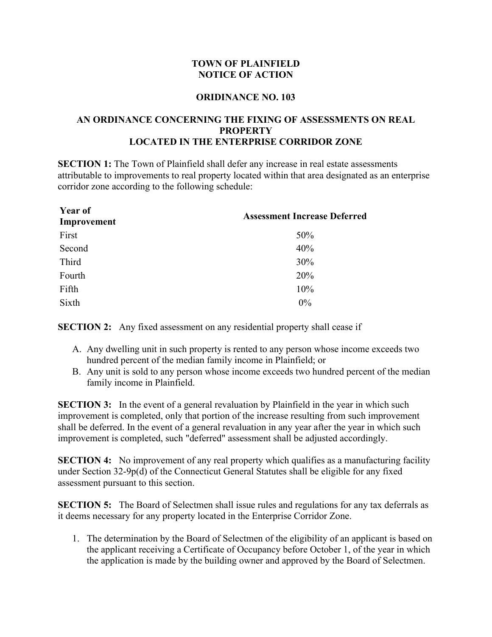## **TOWN OF PLAINFIELD NOTICE OF ACTION**

## **ORIDINANCE NO. 103**

## **AN ORDINANCE CONCERNING THE FIXING OF ASSESSMENTS ON REAL PROPERTY LOCATED IN THE ENTERPRISE CORRIDOR ZONE**

**SECTION 1:** The Town of Plainfield shall defer any increase in real estate assessments attributable to improvements to real property located within that area designated as an enterprise corridor zone according to the following schedule:

| <b>Year of</b><br>Improvement | <b>Assessment Increase Deferred</b> |
|-------------------------------|-------------------------------------|
| First                         | 50%                                 |
| Second                        | 40%                                 |
| Third                         | 30%                                 |
| Fourth                        | 20%                                 |
| Fifth                         | 10%                                 |
| Sixth                         | $0\%$                               |

**SECTION 2:** Any fixed assessment on any residential property shall cease if

- A. Any dwelling unit in such property is rented to any person whose income exceeds two hundred percent of the median family income in Plainfield; or
- B. Any unit is sold to any person whose income exceeds two hundred percent of the median family income in Plainfield.

**SECTION 3:** In the event of a general revaluation by Plainfield in the year in which such improvement is completed, only that portion of the increase resulting from such improvement shall be deferred. In the event of a general revaluation in any year after the year in which such improvement is completed, such "deferred" assessment shall be adjusted accordingly.

**SECTION 4:** No improvement of any real property which qualifies as a manufacturing facility under Section 32-9p(d) of the Connecticut General Statutes shall be eligible for any fixed assessment pursuant to this section.

**SECTION 5:** The Board of Selectmen shall issue rules and regulations for any tax deferrals as it deems necessary for any property located in the Enterprise Corridor Zone.

1. The determination by the Board of Selectmen of the eligibility of an applicant is based on the applicant receiving a Certificate of Occupancy before October 1, of the year in which the application is made by the building owner and approved by the Board of Selectmen.